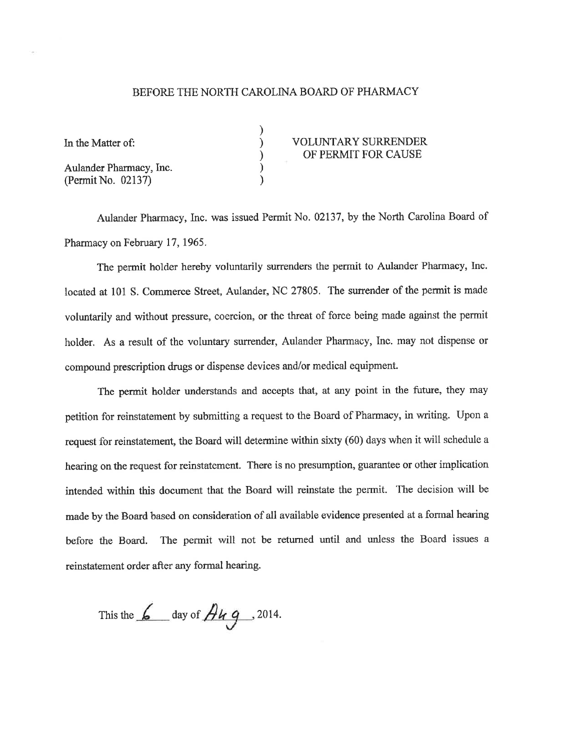## BEFORE THE NORTH CAROLINA BOARD OF PHARMACY

) ) ) ) )

Aulander Pharmacy, Inc. (Permit No. 02137)

## In the Matter of:  $VOLUTION$  (OLUNTARY SURRENDER OF PERMIT FOR CAUSE

Aulander Pharmacy, Inc. was issued Permit No. 02137, by the North Carolina Board of Pharmacy on February 17, 1965.

The permit holder hereby voluntarily surrenders the permit to Aulander Pharmacy, Inc. located at 101 S. Commerce Street, Aulander, NC 27805. The surrender of the permit is made voluntarily and without pressure, coercion, or the threat of force being made against the permit holder. As a result of the voluntary surrender, Aulander Pharmacy, Inc. may not dispense or compound prescription drugs or dispense devices and/or medical equipmenl

The permit holder understands and accepts that, at any point in the future, they may petition for reinstatement by submittìng a request to the Board of Pharmacy, in writing. Upon <sup>a</sup> request for reinstatement, the Board will determine within sixty (60) days when it will schedule a hearing on the request for reinstatement. There is no presumption, guarantee or other implication intended within this document that the Board will reinstate the permit. The decision will be made by the Board based on consideration of all available evidence presented at a formal hearing before the Board. The permit will not be returned until and unless the Board issues <sup>a</sup> reinstatement order after any fonnal hearing.

This the  $\frac{6}{2}$  day of  $\frac{\partial \mu}{\partial 9}$ , 2014.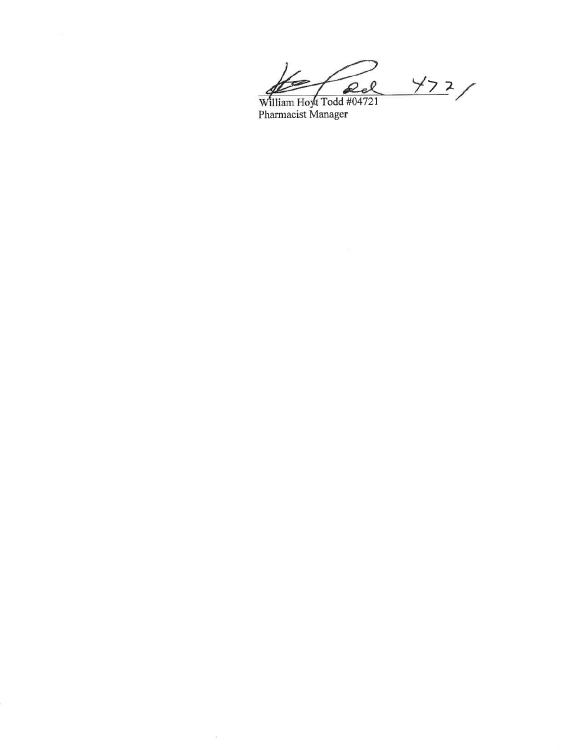$472/$ William Hoyt Todd #04721<br>Pharmacist Manager

 $\sim$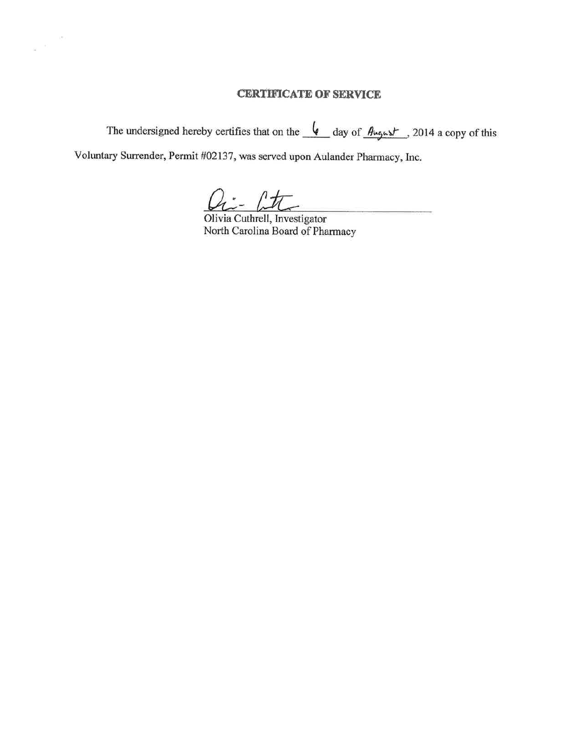## **CERTIFICATE OF SERVICE**

The undersigned hereby certifies that on the  $\sqrt{\phantom{a}}$  day of  $\frac{\partial \mu_0}{\partial x}$ , 2014 a copy of this

Voluntary Surrender, Permit #02137, was served upon Aulander Pharmacy, Inc.

 $\lambda$  $\alpha'$ ò.

 $\ell t$ 

Olivia Cuthrell, Investigator North Carolina Board of Pharmacy